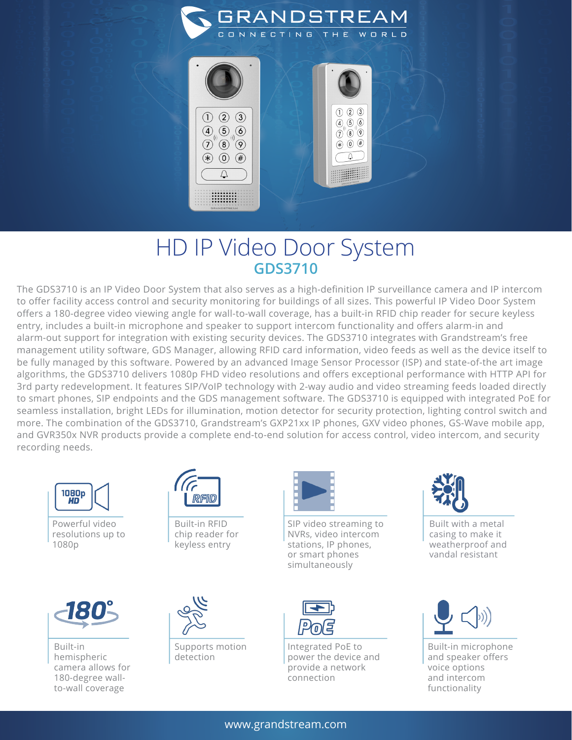

 $\hbox{D}$ 

## HD IP Video Door System **GDS3710**

 $*(*)$  (0)  $(*)$ 

 $\bigcirc$ 

..........<br>.........

The GDS3710 is an IP Video Door System that also serves as a high-definition IP surveillance camera and IP intercom to offer facility access control and security monitoring for buildings of all sizes. This powerful IP Video Door System offers a 180-degree video viewing angle for wall-to-wall coverage, has a built-in RFID chip reader for secure keyless entry, includes a built-in microphone and speaker to support intercom functionality and offers alarm-in and alarm-out support for integration with existing security devices. The GDS3710 integrates with Grandstream's free management utility software, GDS Manager, allowing RFID card information, video feeds as well as the device itself to be fully managed by this software. Powered by an advanced Image Sensor Processor (ISP) and state-of-the art image algorithms, the GDS3710 delivers 1080p FHD video resolutions and offers exceptional performance with HTTP API for 3rd party redevelopment. It features SIP/VoIP technology with 2-way audio and video streaming feeds loaded directly to smart phones, SIP endpoints and the GDS management software. The GDS3710 is equipped with integrated PoE for seamless installation, bright LEDs for illumination, motion detector for security protection, lighting control switch and more. The combination of the GDS3710, Grandstream's GXP21xx IP phones, GXV video phones, GS-Wave mobile app, and GVR350x NVR products provide a complete end-to-end solution for access control, video intercom, and security recording needs.



Powerful video resolutions up to 1080p



Built-in RFID chip reader for keyless entry

SIP video streaming to NVRs, video intercom stations, IP phones, or smart phones simultaneously



Built with a metal casing to make it weatherproof and vandal resistant



Built-in hemispheric camera allows for 180-degree wallto-wall coverage



Supports motion detection



Integrated PoE to power the device and provide a network connection



Built-in microphone and speaker offers voice options and intercom functionality